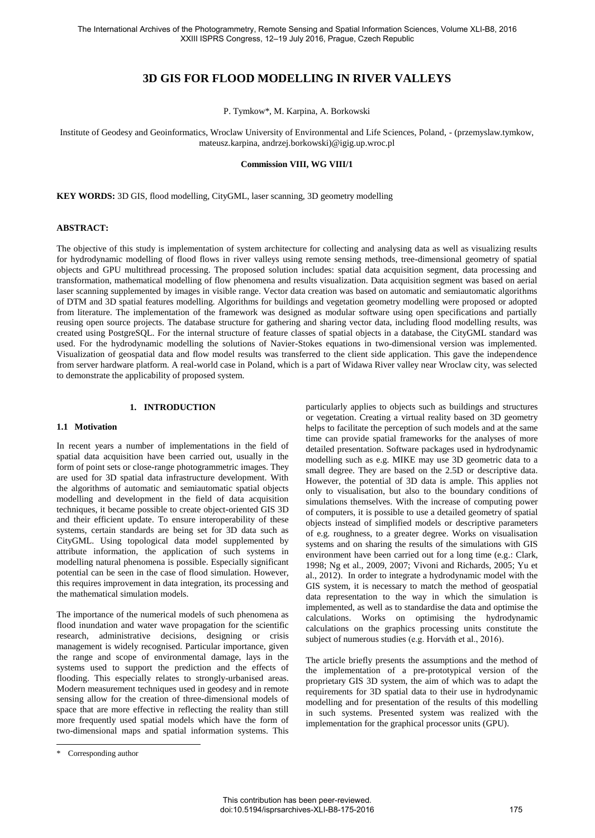# **3D GIS FOR FLOOD MODELLING IN RIVER VALLEYS**

P. Tymkow\*, M. Karpina, A. Borkowski

Institute of Geodesy and Geoinformatics, Wroclaw University of Environmental and Life Sciences, Poland, - (przemyslaw.tymkow, mateusz.karpina, andrzej.borkowski)@igig.up.wroc.pl

### **Commission VIII, WG VIII/1**

**KEY WORDS:** 3D GIS, flood modelling, CityGML, laser scanning, 3D geometry modelling

#### **ABSTRACT:**

The objective of this study is implementation of system architecture for collecting and analysing data as well as visualizing results for hydrodynamic modelling of flood flows in river valleys using remote sensing methods, tree-dimensional geometry of spatial objects and GPU multithread processing. The proposed solution includes: spatial data acquisition segment, data processing and transformation, mathematical modelling of flow phenomena and results visualization. Data acquisition segment was based on aerial laser scanning supplemented by images in visible range. Vector data creation was based on automatic and semiautomatic algorithms of DTM and 3D spatial features modelling. Algorithms for buildings and vegetation geometry modelling were proposed or adopted from literature. The implementation of the framework was designed as modular software using open specifications and partially reusing open source projects. The database structure for gathering and sharing vector data, including flood modelling results, was created using PostgreSQL. For the internal structure of feature classes of spatial objects in a database, the CityGML standard was used. For the hydrodynamic modelling the solutions of Navier-Stokes equations in two-dimensional version was implemented. Visualization of geospatial data and flow model results was transferred to the client side application. This gave the independence from server hardware platform. A real-world case in Poland, which is a part of Widawa River valley near Wroclaw city, was selected to demonstrate the applicability of proposed system.

### **1. INTRODUCTION**

#### **1.1 Motivation**

In recent years a number of implementations in the field of spatial data acquisition have been carried out, usually in the form of point sets or close-range photogrammetric images. They are used for 3D spatial data infrastructure development. With the algorithms of automatic and semiautomatic spatial objects modelling and development in the field of data acquisition techniques, it became possible to create object-oriented GIS 3D and their efficient update. To ensure interoperability of these systems, certain standards are being set for 3D data such as CityGML. Using topological data model supplemented by attribute information, the application of such systems in modelling natural phenomena is possible. Especially significant potential can be seen in the case of flood simulation. However, this requires improvement in data integration, its processing and the mathematical simulation models.

The importance of the numerical models of such phenomena as flood inundation and water wave propagation for the scientific research, administrative decisions, designing or crisis management is widely recognised. Particular importance, given the range and scope of environmental damage, lays in the systems used to support the prediction and the effects of flooding. This especially relates to strongly-urbanised areas. Modern measurement techniques used in geodesy and in remote sensing allow for the creation of three-dimensional models of space that are more effective in reflecting the reality than still more frequently used spatial models which have the form of two-dimensional maps and spatial information systems. This

The article briefly presents the assumptions and the method of the implementation of a pre-prototypical version of the proprietary GIS 3D system, the aim of which was to adapt the requirements for 3D spatial data to their use in hydrodynamic modelling and for presentation of the results of this modelling in such systems. Presented system was realized with the implementation for the graphical processor units (GPU).

 $\overline{a}$ 

particularly applies to objects such as buildings and structures or vegetation. Creating a virtual reality based on 3D geometry helps to facilitate the perception of such models and at the same time can provide spatial frameworks for the analyses of more detailed presentation. Software packages used in hydrodynamic modelling such as e.g. MIKE may use 3D geometric data to a small degree. They are based on the 2.5D or descriptive data. However, the potential of 3D data is ample. This applies not only to visualisation, but also to the boundary conditions of simulations themselves. With the increase of computing power of computers, it is possible to use a detailed geometry of spatial objects instead of simplified models or descriptive parameters of e.g. roughness, to a greater degree. Works on visualisation systems and on sharing the results of the simulations with GIS environment have been carried out for a long time (e.g.: Clark, 1998; Ng et al., 2009, 2007; Vivoni and Richards, 2005; Yu et al., 2012). In order to integrate a hydrodynamic model with the GIS system, it is necessary to match the method of geospatial data representation to the way in which the simulation is implemented, as well as to standardise the data and optimise the calculations. Works on optimising the hydrodynamic calculations on the graphics processing units constitute the subject of numerous studies (e.g. Horváth et al., 2016).

<sup>\*</sup> Corresponding author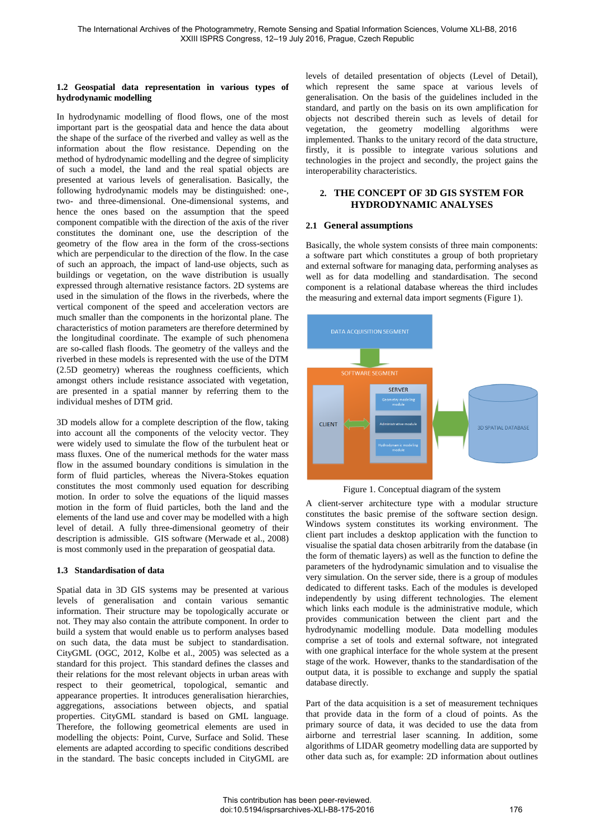### **1.2 Geospatial data representation in various types of hydrodynamic modelling**

In hydrodynamic modelling of flood flows, one of the most important part is the geospatial data and hence the data about the shape of the surface of the riverbed and valley as well as the information about the flow resistance. Depending on the method of hydrodynamic modelling and the degree of simplicity of such a model, the land and the real spatial objects are presented at various levels of generalisation. Basically, the following hydrodynamic models may be distinguished: one-, two- and three-dimensional. One-dimensional systems, and hence the ones based on the assumption that the speed component compatible with the direction of the axis of the river constitutes the dominant one, use the description of the geometry of the flow area in the form of the cross-sections which are perpendicular to the direction of the flow. In the case of such an approach, the impact of land-use objects, such as buildings or vegetation, on the wave distribution is usually expressed through alternative resistance factors. 2D systems are used in the simulation of the flows in the riverbeds, where the vertical component of the speed and acceleration vectors are much smaller than the components in the horizontal plane. The characteristics of motion parameters are therefore determined by the longitudinal coordinate. The example of such phenomena are so-called flash floods. The geometry of the valleys and the riverbed in these models is represented with the use of the DTM (2.5D geometry) whereas the roughness coefficients, which amongst others include resistance associated with vegetation, are presented in a spatial manner by referring them to the individual meshes of DTM grid.

3D models allow for a complete description of the flow, taking into account all the components of the velocity vector. They were widely used to simulate the flow of the turbulent heat or mass fluxes. One of the numerical methods for the water mass flow in the assumed boundary conditions is simulation in the form of fluid particles, whereas the Nivera-Stokes equation constitutes the most commonly used equation for describing motion. In order to solve the equations of the liquid masses motion in the form of fluid particles, both the land and the elements of the land use and cover may be modelled with a high level of detail. A fully three-dimensional geometry of their description is admissible. GIS software (Merwade et al., 2008) is most commonly used in the preparation of geospatial data.

## **1.3 Standardisation of data**

Spatial data in 3D GIS systems may be presented at various levels of generalisation and contain various semantic information. Their structure may be topologically accurate or not. They may also contain the attribute component. In order to build a system that would enable us to perform analyses based on such data, the data must be subject to standardisation. CityGML (OGC, 2012, Kolbe et al., 2005) was selected as a standard for this project. This standard defines the classes and their relations for the most relevant objects in urban areas with respect to their geometrical, topological, semantic and appearance properties. It introduces generalisation hierarchies, aggregations, associations between objects, and spatial properties. CityGML standard is based on GML language. Therefore, the following geometrical elements are used in modelling the objects: Point, Curve, Surface and Solid. These elements are adapted according to specific conditions described in the standard. The basic concepts included in CityGML are

levels of detailed presentation of objects (Level of Detail), which represent the same space at various levels of generalisation. On the basis of the guidelines included in the standard, and partly on the basis on its own amplification for objects not described therein such as levels of detail for vegetation, the geometry modelling algorithms were implemented. Thanks to the unitary record of the data structure, firstly, it is possible to integrate various solutions and technologies in the project and secondly, the project gains the interoperability characteristics.

## **2. THE CONCEPT OF 3D GIS SYSTEM FOR HYDRODYNAMIC ANALYSES**

## **2.1 General assumptions**

Basically, the whole system consists of three main components: a software part which constitutes a group of both proprietary and external software for managing data, performing analyses as well as for data modelling and standardisation. The second component is a relational database whereas the third includes the measuring and external data import segments [\(Figure 1\)](#page-1-0).





<span id="page-1-0"></span>A client-server architecture type with a modular structure constitutes the basic premise of the software section design. Windows system constitutes its working environment. The client part includes a desktop application with the function to visualise the spatial data chosen arbitrarily from the database (in the form of thematic layers) as well as the function to define the parameters of the hydrodynamic simulation and to visualise the very simulation. On the server side, there is a group of modules dedicated to different tasks. Each of the modules is developed independently by using different technologies. The element which links each module is the administrative module, which provides communication between the client part and the hydrodynamic modelling module. Data modelling modules comprise a set of tools and external software, not integrated with one graphical interface for the whole system at the present stage of the work. However, thanks to the standardisation of the output data, it is possible to exchange and supply the spatial database directly.

Part of the data acquisition is a set of measurement techniques that provide data in the form of a cloud of points. As the primary source of data, it was decided to use the data from airborne and terrestrial laser scanning. In addition, some algorithms of LIDAR geometry modelling data are supported by other data such as, for example: 2D information about outlines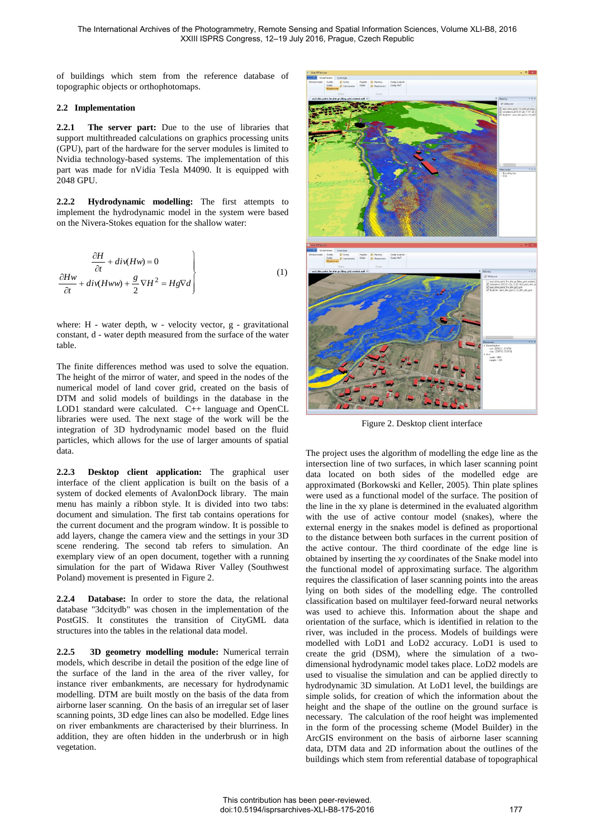of buildings which stem from the reference database of topographic objects or orthophotomaps.

## **2.2 Implementation**

**2.2.1 The server part:** Due to the use of libraries that support multithreaded calculations on graphics processing units (GPU), part of the hardware for the server modules is limited to Nvidia technology-based systems. The implementation of this part was made for nVidia Tesla M4090. It is equipped with 2048 GPU.

**2.2.2 Hydrodynamic modelling:** The first attempts to implement the hydrodynamic model in the system were based on the Nivera-Stokes equation for the shallow water:

$$
\frac{\partial H}{\partial t} + div(Hw) = 0
$$
\n
$$
\frac{\partial Hw}{\partial t} + div(Hww) + \frac{g}{2}\nabla H^2 = Hg\nabla d
$$
\n(1)

where: H - water depth, w - velocity vector, g - gravitational constant, d - water depth measured from the surface of the water table.

The finite differences method was used to solve the equation. The height of the mirror of water, and speed in the nodes of the numerical model of land cover grid, created on the basis of DTM and solid models of buildings in the database in the LOD1 standard were calculated. C++ language and OpenCL libraries were used. The next stage of the work will be the integration of 3D hydrodynamic model based on the fluid particles, which allows for the use of larger amounts of spatial data.

**2.2.3 Desktop client application:** The graphical user interface of the client application is built on the basis of a system of docked elements of AvalonDock library. The main menu has mainly a ribbon style. It is divided into two tabs: document and simulation. The first tab contains operations for the current document and the program window. It is possible to add layers, change the camera view and the settings in your 3D scene rendering. The second tab refers to simulation. An exemplary view of an open document, together with a running simulation for the part of Widawa River Valley (Southwest Poland) movement is presented in [Figure 2.](#page-2-0)

**2.2.4 Database:** In order to store the data, the relational database "3dcitydb" was chosen in the implementation of the PostGIS. It constitutes the transition of CityGML data structures into the tables in the relational data model.

**2.2.5 3D geometry modelling module:** Numerical terrain models, which describe in detail the position of the edge line of the surface of the land in the area of the river valley, for instance river embankments, are necessary for hydrodynamic modelling. DTM are built mostly on the basis of the data from airborne laser scanning. On the basis of an irregular set of laser scanning points, 3D edge lines can also be modelled. Edge lines on river embankments are characterised by their blurriness. In addition, they are often hidden in the underbrush or in high vegetation.



Figure 2. Desktop client interface

<span id="page-2-0"></span>The project uses the algorithm of modelling the edge line as the intersection line of two surfaces, in which laser scanning point data located on both sides of the modelled edge are approximated (Borkowski and Keller, 2005). Thin plate splines were used as a functional model of the surface. The position of the line in the xy plane is determined in the evaluated algorithm with the use of active contour model (snakes), where the external energy in the snakes model is defined as proportional to the distance between both surfaces in the current position of the active contour. The third coordinate of the edge line is obtained by inserting the *xy* coordinates of the Snake model into the functional model of approximating surface. The algorithm requires the classification of laser scanning points into the areas lying on both sides of the modelling edge. The controlled classification based on multilayer feed-forward neural networks was used to achieve this. Information about the shape and orientation of the surface, which is identified in relation to the river, was included in the process. Models of buildings were modelled with LoD1 and LoD2 accuracy. LoD1 is used to create the grid (DSM), where the simulation of a twodimensional hydrodynamic model takes place. LoD2 models are used to visualise the simulation and can be applied directly to hydrodynamic 3D simulation. At LoD1 level, the buildings are simple solids, for creation of which the information about the height and the shape of the outline on the ground surface is necessary. The calculation of the roof height was implemented in the form of the processing scheme (Model Builder) in the ArcGIS environment on the basis of airborne laser scanning data, DTM data and 2D information about the outlines of the buildings which stem from referential database of topographical